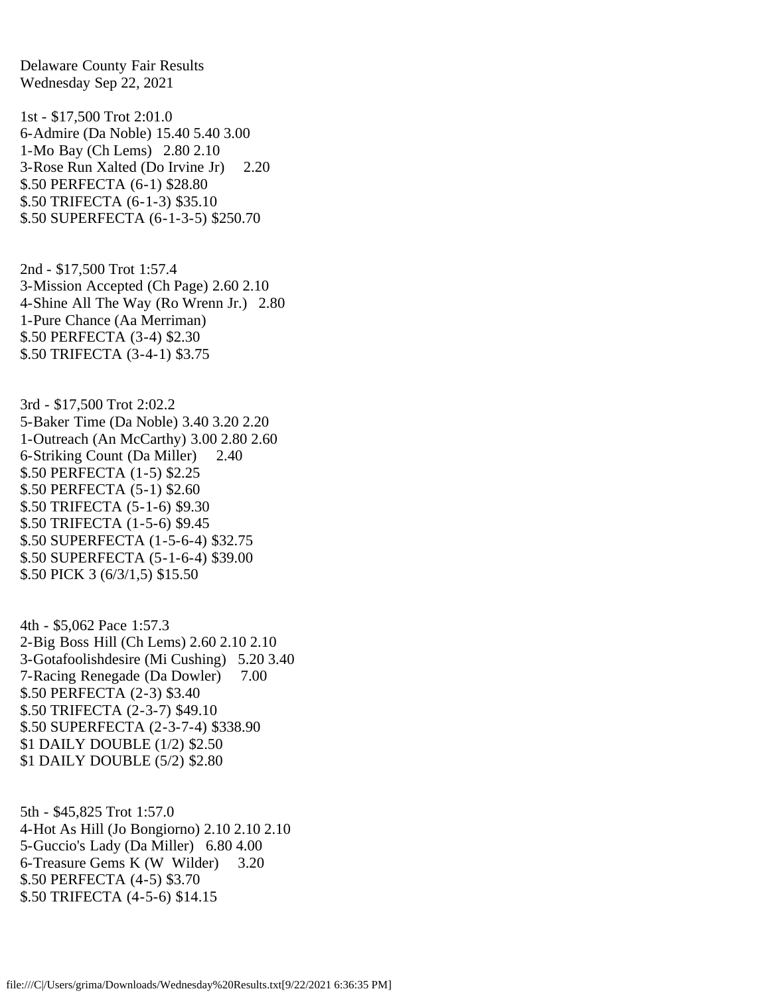Delaware County Fair Results Wednesday Sep 22, 2021

1st - \$17,500 Trot 2:01.0 6-Admire (Da Noble) 15.40 5.40 3.00 1-Mo Bay (Ch Lems) 2.80 2.10 3-Rose Run Xalted (Do Irvine Jr) 2.20 \$.50 PERFECTA (6-1) \$28.80 \$.50 TRIFECTA (6-1-3) \$35.10 \$.50 SUPERFECTA (6-1-3-5) \$250.70

2nd - \$17,500 Trot 1:57.4 3-Mission Accepted (Ch Page) 2.60 2.10 4-Shine All The Way (Ro Wrenn Jr.) 2.80 1-Pure Chance (Aa Merriman) \$.50 PERFECTA (3-4) \$2.30 \$.50 TRIFECTA (3-4-1) \$3.75

3rd - \$17,500 Trot 2:02.2 5-Baker Time (Da Noble) 3.40 3.20 2.20 1-Outreach (An McCarthy) 3.00 2.80 2.60 6-Striking Count (Da Miller) 2.40 \$.50 PERFECTA (1-5) \$2.25 \$.50 PERFECTA (5-1) \$2.60 \$.50 TRIFECTA (5-1-6) \$9.30 \$.50 TRIFECTA (1-5-6) \$9.45 \$.50 SUPERFECTA (1-5-6-4) \$32.75 \$.50 SUPERFECTA (5-1-6-4) \$39.00 \$.50 PICK 3 (6/3/1,5) \$15.50

4th - \$5,062 Pace 1:57.3 2-Big Boss Hill (Ch Lems) 2.60 2.10 2.10 3-Gotafoolishdesire (Mi Cushing) 5.20 3.40 7-Racing Renegade (Da Dowler) 7.00 \$.50 PERFECTA (2-3) \$3.40 \$.50 TRIFECTA (2-3-7) \$49.10 \$.50 SUPERFECTA (2-3-7-4) \$338.90 \$1 DAILY DOUBLE (1/2) \$2.50 \$1 DAILY DOUBLE (5/2) \$2.80

5th - \$45,825 Trot 1:57.0 4-Hot As Hill (Jo Bongiorno) 2.10 2.10 2.10 5-Guccio's Lady (Da Miller) 6.80 4.00 6-Treasure Gems K (W Wilder) 3.20 \$.50 PERFECTA (4-5) \$3.70 \$.50 TRIFECTA (4-5-6) \$14.15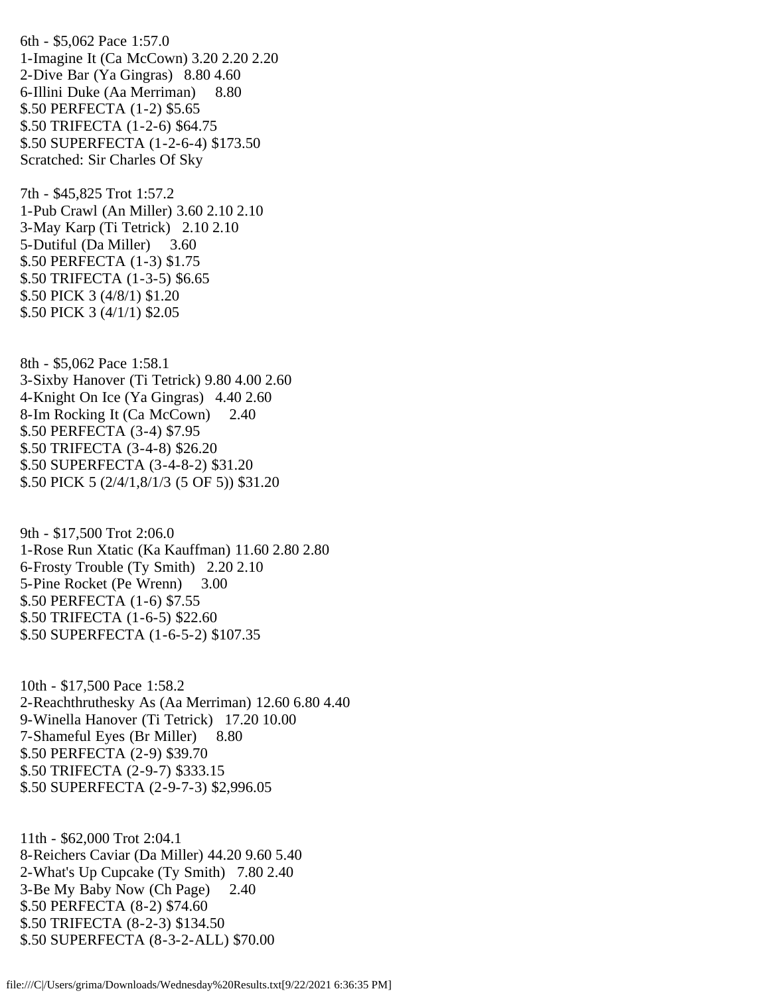6th - \$5,062 Pace 1:57.0 1-Imagine It (Ca McCown) 3.20 2.20 2.20 2-Dive Bar (Ya Gingras) 8.80 4.60 6-Illini Duke (Aa Merriman) 8.80 \$.50 PERFECTA (1-2) \$5.65 \$.50 TRIFECTA (1-2-6) \$64.75 \$.50 SUPERFECTA (1-2-6-4) \$173.50 Scratched: Sir Charles Of Sky

7th - \$45,825 Trot 1:57.2 1-Pub Crawl (An Miller) 3.60 2.10 2.10 3-May Karp (Ti Tetrick) 2.10 2.10 5-Dutiful (Da Miller) 3.60 \$.50 PERFECTA (1-3) \$1.75 \$.50 TRIFECTA (1-3-5) \$6.65 \$.50 PICK 3 (4/8/1) \$1.20 \$.50 PICK 3 (4/1/1) \$2.05

8th - \$5,062 Pace 1:58.1 3-Sixby Hanover (Ti Tetrick) 9.80 4.00 2.60 4-Knight On Ice (Ya Gingras) 4.40 2.60 8-Im Rocking It (Ca McCown) 2.40 \$.50 PERFECTA (3-4) \$7.95 \$.50 TRIFECTA (3-4-8) \$26.20 \$.50 SUPERFECTA (3-4-8-2) \$31.20 \$.50 PICK 5 (2/4/1,8/1/3 (5 OF 5)) \$31.20

9th - \$17,500 Trot 2:06.0 1-Rose Run Xtatic (Ka Kauffman) 11.60 2.80 2.80 6-Frosty Trouble (Ty Smith) 2.20 2.10 5-Pine Rocket (Pe Wrenn) 3.00 \$.50 PERFECTA (1-6) \$7.55 \$.50 TRIFECTA (1-6-5) \$22.60 \$.50 SUPERFECTA (1-6-5-2) \$107.35

10th - \$17,500 Pace 1:58.2 2-Reachthruthesky As (Aa Merriman) 12.60 6.80 4.40 9-Winella Hanover (Ti Tetrick) 17.20 10.00 7-Shameful Eyes (Br Miller) 8.80 \$.50 PERFECTA (2-9) \$39.70 \$.50 TRIFECTA (2-9-7) \$333.15 \$.50 SUPERFECTA (2-9-7-3) \$2,996.05

11th - \$62,000 Trot 2:04.1 8-Reichers Caviar (Da Miller) 44.20 9.60 5.40 2-What's Up Cupcake (Ty Smith) 7.80 2.40 3-Be My Baby Now (Ch Page) 2.40 \$.50 PERFECTA (8-2) \$74.60 \$.50 TRIFECTA (8-2-3) \$134.50 \$.50 SUPERFECTA (8-3-2-ALL) \$70.00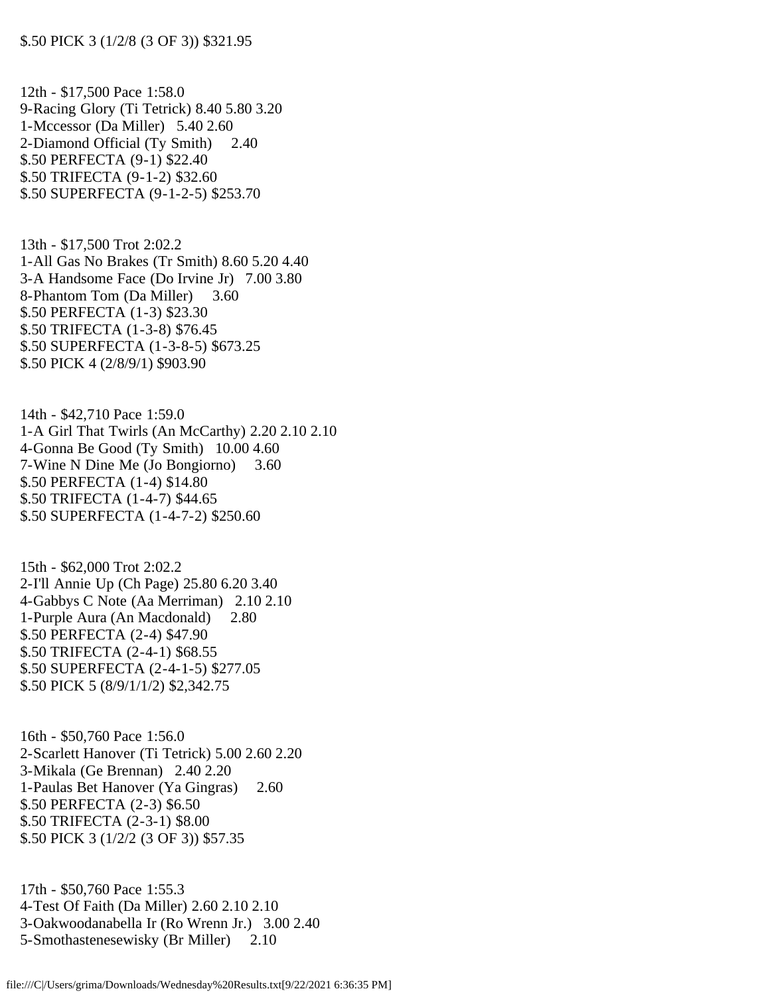12th - \$17,500 Pace 1:58.0 9-Racing Glory (Ti Tetrick) 8.40 5.80 3.20 1-Mccessor (Da Miller) 5.40 2.60 2-Diamond Official (Ty Smith) 2.40 \$.50 PERFECTA (9-1) \$22.40 \$.50 TRIFECTA (9-1-2) \$32.60 \$.50 SUPERFECTA (9-1-2-5) \$253.70

13th - \$17,500 Trot 2:02.2 1-All Gas No Brakes (Tr Smith) 8.60 5.20 4.40 3-A Handsome Face (Do Irvine Jr) 7.00 3.80 8-Phantom Tom (Da Miller) 3.60 \$.50 PERFECTA (1-3) \$23.30 \$.50 TRIFECTA (1-3-8) \$76.45 \$.50 SUPERFECTA (1-3-8-5) \$673.25 \$.50 PICK 4 (2/8/9/1) \$903.90

14th - \$42,710 Pace 1:59.0 1-A Girl That Twirls (An McCarthy) 2.20 2.10 2.10 4-Gonna Be Good (Ty Smith) 10.00 4.60 7-Wine N Dine Me (Jo Bongiorno) 3.60 \$.50 PERFECTA (1-4) \$14.80 \$.50 TRIFECTA (1-4-7) \$44.65 \$.50 SUPERFECTA (1-4-7-2) \$250.60

15th - \$62,000 Trot 2:02.2 2-I'll Annie Up (Ch Page) 25.80 6.20 3.40 4-Gabbys C Note (Aa Merriman) 2.10 2.10 1-Purple Aura (An Macdonald) 2.80 \$.50 PERFECTA (2-4) \$47.90 \$.50 TRIFECTA (2-4-1) \$68.55 \$.50 SUPERFECTA (2-4-1-5) \$277.05 \$.50 PICK 5 (8/9/1/1/2) \$2,342.75

16th - \$50,760 Pace 1:56.0 2-Scarlett Hanover (Ti Tetrick) 5.00 2.60 2.20 3-Mikala (Ge Brennan) 2.40 2.20 1-Paulas Bet Hanover (Ya Gingras) 2.60 \$.50 PERFECTA (2-3) \$6.50 \$.50 TRIFECTA (2-3-1) \$8.00 \$.50 PICK 3 (1/2/2 (3 OF 3)) \$57.35

17th - \$50,760 Pace 1:55.3 4-Test Of Faith (Da Miller) 2.60 2.10 2.10 3-Oakwoodanabella Ir (Ro Wrenn Jr.) 3.00 2.40 5-Smothastenesewisky (Br Miller) 2.10